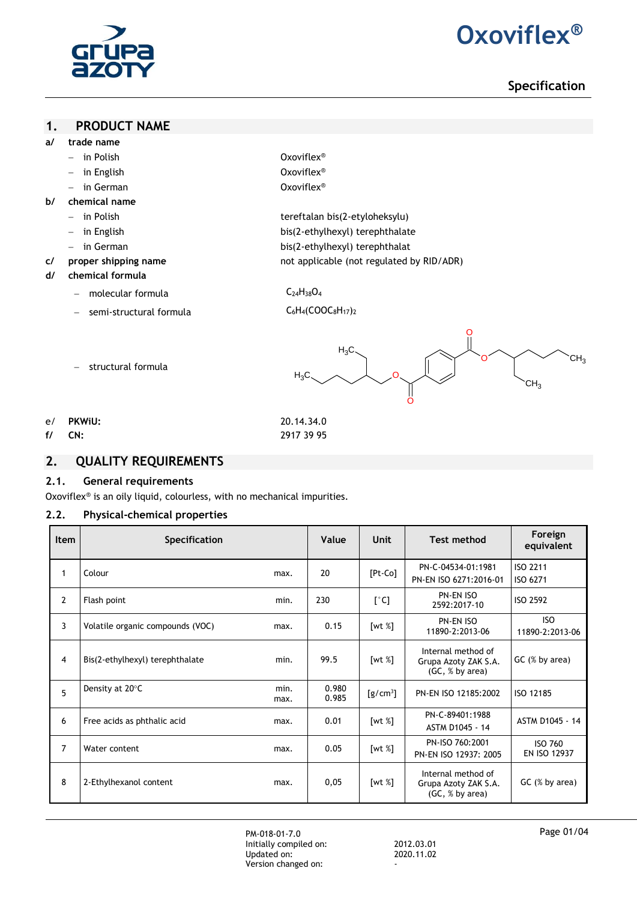

# **2. Oxoviflex®**

# **Specification**

## **1. PRODUCT NAME**

- **a/ trade name**
	- in Polish Oxoviflex®
	- **in English** Cxoviflex<sup>®</sup>
	- **a** in German **Oxoviflex**<sup>®</sup>
- **b/ chemical name**
	-
	-
	-
	-

 in Polish tereftalan bis(2-etyloheksylu) - in English bis(2-ethylhexyl) terephthalate

- in German bis(2-ethylhexyl) terephthalat
- **c/ proper shipping name** not applicable (not regulated by RID/ADR)

## **d/ chemical formula**

molecular formula  $C_{24}H_{38}O_4$ 

- structural formula

- semi-structural formula C<sub>6</sub>H<sub>4</sub>(COOC<sub>8</sub>H<sub>17</sub>)<sub>2</sub>
- 



e/ **PKWiU:** 20.14.34.0 **f/ CN:** 2917 39 95

## **2. QUALITY REQUIREMENTS**

### **2.1. General requirements**

Oxoviflex® is an oily liquid, colourless, with no mechanical impurities.

## **2.2. Physical-chemical properties**

| Item           | Specification                    |              | Value          | <b>Unit</b>   | <b>Test method</b>                                            | Foreign<br>equivalent          |
|----------------|----------------------------------|--------------|----------------|---------------|---------------------------------------------------------------|--------------------------------|
| 1              | Colour                           | max.         | 20             | $[Pt$ -Co $]$ | PN-C-04534-01:1981<br>PN-EN ISO 6271:2016-01                  | ISO 2211<br>ISO 6271           |
| $\overline{2}$ | Flash point                      | min.         | 230            | $[^{\circ}C]$ | PN-EN ISO<br>2592:2017-10                                     | ISO 2592                       |
| 3              | Volatile organic compounds (VOC) | max.         | 0.15           | [wt %]        | PN-EN ISO<br>11890-2:2013-06                                  | ISO.<br>11890-2:2013-06        |
| 4              | Bis(2-ethylhexyl) terephthalate  | min.         | 99.5           | [wt $%$ ]     | Internal method of<br>Grupa Azoty ZAK S.A.<br>(GC, % by area) | $GC$ (% by area)               |
| 5              | Density at 20°C                  | min.<br>max. | 0.980<br>0.985 | $[g/cm^3]$    | PN-EN ISO 12185:2002                                          | ISO 12185                      |
| 6              | Free acids as phthalic acid      | max.         | 0.01           | [wt $%$ ]     | PN-C-89401:1988<br>ASTM D1045 - 14                            | ASTM D1045 - 14                |
| $\overline{7}$ | Water content                    | max.         | 0.05           | [wt $%$ ]     | PN-ISO 760:2001<br>PN-EN ISO 12937: 2005                      | <b>ISO 760</b><br>EN ISO 12937 |
| 8              | 2-Ethylhexanol content           | max.         | 0,05           | [wt $%$ ]     | Internal method of<br>Grupa Azoty ZAK S.A.<br>(GC, % by area) | GC (% by area)                 |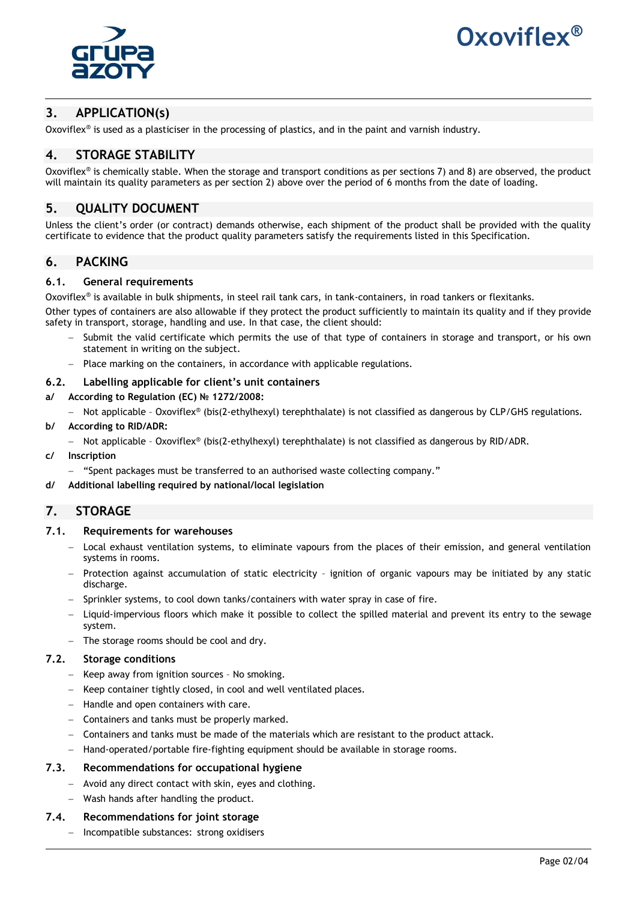



# **3. APPLICATION(s)**

Oxoviflex® is used as a plasticiser in the processing of plastics, and in the paint and varnish industry.

# **4. STORAGE STABILITY**

Oxoviflex® is chemically stable. When the storage and transport conditions as per sections 7) and 8) are observed, the product will maintain its quality parameters as per section 2) above over the period of 6 months from the date of loading.

## **5. QUALITY DOCUMENT**

Unless the client's order (or contract) demands otherwise, each shipment of the product shall be provided with the quality certificate to evidence that the product quality parameters satisfy the requirements listed in this Specification.

## **6. PACKING**

#### **6.1. General requirements**

Oxoviflex® is available in bulk shipments, in steel rail tank cars, in tank-containers, in road tankers or flexitanks. Other types of containers are also allowable if they protect the product sufficiently to maintain its quality and if they provide safety in transport, storage, handling and use. In that case, the client should:

- Submit the valid certificate which permits the use of that type of containers in storage and transport, or his own statement in writing on the subject.
- Place marking on the containers, in accordance with applicable regulations.

#### **6.2. Labelling applicable for client's unit containers**

**a/ According to Regulation (EC) № 1272/2008:**

- Not applicable - Oxoviflex® (bis(2-ethylhexyl) terephthalate) is not classified as dangerous by CLP/GHS regulations.

- **b/ According to RID/ADR:**
	- $-$  Not applicable Oxoviflex® (bis(2-ethylhexyl) terephthalate) is not classified as dangerous by RID/ADR.
- **c/ Inscription**
	- "Spent packages must be transferred to an authorised waste collecting company."
- **d/ Additional labelling required by national/local legislation**

## **7. STORAGE**

#### **7.1. Requirements for warehouses**

- Local exhaust ventilation systems, to eliminate vapours from the places of their emission, and general ventilation systems in rooms.
- Protection against accumulation of static electricity ignition of organic vapours may be initiated by any static discharge.
- Sprinkler systems, to cool down tanks/containers with water spray in case of fire.
- Liquid-impervious floors which make it possible to collect the spilled material and prevent its entry to the sewage system.
- $-$  The storage rooms should be cool and dry.

## **7.2. Storage conditions**

- Keep away from ignition sources No smoking.
- Keep container tightly closed, in cool and well ventilated places.
- $-$  Handle and open containers with care.
- Containers and tanks must be properly marked.
- Containers and tanks must be made of the materials which are resistant to the product attack.
- Hand-operated/portable fire-fighting equipment should be available in storage rooms.

#### **7.3. Recommendations for occupational hygiene**

- Avoid any direct contact with skin, eyes and clothing.
- Wash hands after handling the product.

#### **7.4. Recommendations for joint storage**

- Incompatible substances: strong oxidisers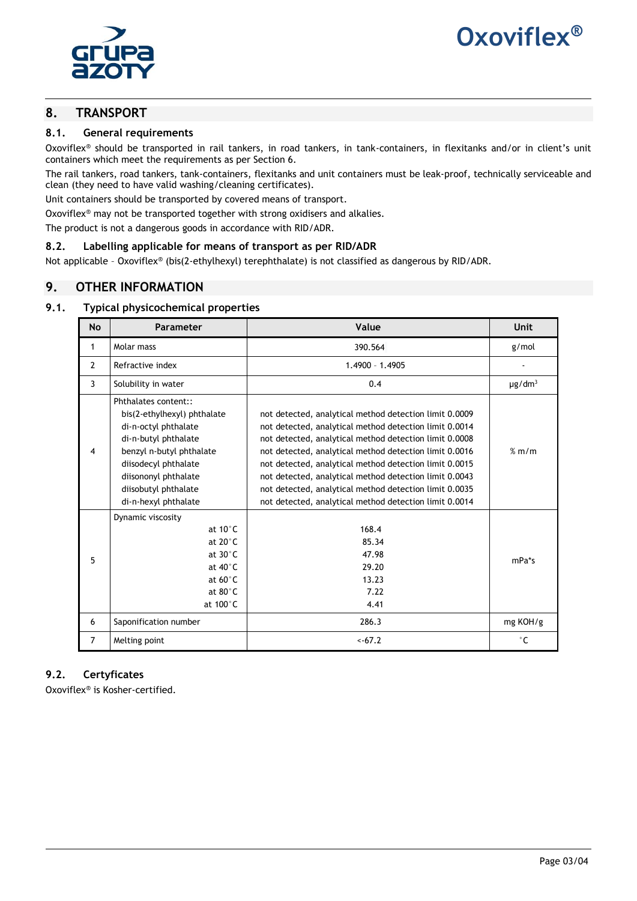



## **8. TRANSPORT**

#### **8.1. General requirements**

Oxoviflex® should be transported in rail tankers, in road tankers, in tank-containers, in flexitanks and/or in client's unit containers which meet the requirements as per Section 6.

The rail tankers, road tankers, tank-containers, flexitanks and unit containers must be leak-proof, technically serviceable and clean (they need to have valid washing/cleaning certificates).

Unit containers should be transported by covered means of transport.

Oxoviflex® may not be transported together with strong oxidisers and alkalies.

The product is not a dangerous goods in accordance with RID/ADR.

#### **8.2. Labelling applicable for means of transport as per RID/ADR**

Not applicable – Oxoviflex® (bis(2-ethylhexyl) terephthalate) is not classified as dangerous by RID/ADR.

## **9. OTHER INFORMATION**

## **9.1. Typical physicochemical properties**

| <b>No</b>      | Parameter                                                                                                                                                                                                                       | Value                                                                                                                                                                                                                                                                                                                                                                                                                                                                        | Unit                    |
|----------------|---------------------------------------------------------------------------------------------------------------------------------------------------------------------------------------------------------------------------------|------------------------------------------------------------------------------------------------------------------------------------------------------------------------------------------------------------------------------------------------------------------------------------------------------------------------------------------------------------------------------------------------------------------------------------------------------------------------------|-------------------------|
| $\mathbf{1}$   | Molar mass                                                                                                                                                                                                                      | 390.564                                                                                                                                                                                                                                                                                                                                                                                                                                                                      | g/mol                   |
| $\overline{2}$ | Refractive index                                                                                                                                                                                                                | 1.4900 - 1.4905                                                                                                                                                                                                                                                                                                                                                                                                                                                              |                         |
| 3              | Solubility in water                                                                                                                                                                                                             | 0.4                                                                                                                                                                                                                                                                                                                                                                                                                                                                          | $\mu$ g/dm <sup>3</sup> |
| $\overline{4}$ | Phthalates content::<br>bis(2-ethylhexyl) phthalate<br>di-n-octyl phthalate<br>di-n-butyl phthalate<br>benzyl n-butyl phthalate<br>diisodecyl phthalate<br>diisononyl phthalate<br>diisobutyl phthalate<br>di-n-hexyl phthalate | not detected, analytical method detection limit 0.0009<br>not detected, analytical method detection limit 0.0014<br>not detected, analytical method detection limit 0.0008<br>not detected, analytical method detection limit 0.0016<br>not detected, analytical method detection limit 0.0015<br>not detected, analytical method detection limit 0.0043<br>not detected, analytical method detection limit 0.0035<br>not detected, analytical method detection limit 0.0014 | % m/m                   |
| 5              | Dynamic viscosity<br>at 10°C<br>at $20^{\circ}$ C<br>at $30^{\circ}$ C<br>at $40^{\circ}$ C<br>at $60^{\circ}$ C<br>at $80^\circ$ C<br>at 100°C                                                                                 | 168.4<br>85.34<br>47.98<br>29.20<br>13.23<br>7.22<br>4.41                                                                                                                                                                                                                                                                                                                                                                                                                    | mPa*s                   |
| 6              | Saponification number                                                                                                                                                                                                           | 286.3                                                                                                                                                                                                                                                                                                                                                                                                                                                                        | mg KOH/g                |
| $\overline{7}$ | Melting point                                                                                                                                                                                                                   | $< -67.2$                                                                                                                                                                                                                                                                                                                                                                                                                                                                    | $^{\circ}$ C            |

## **9.2. Certyficates**

Oxoviflex® is Kosher-certified.